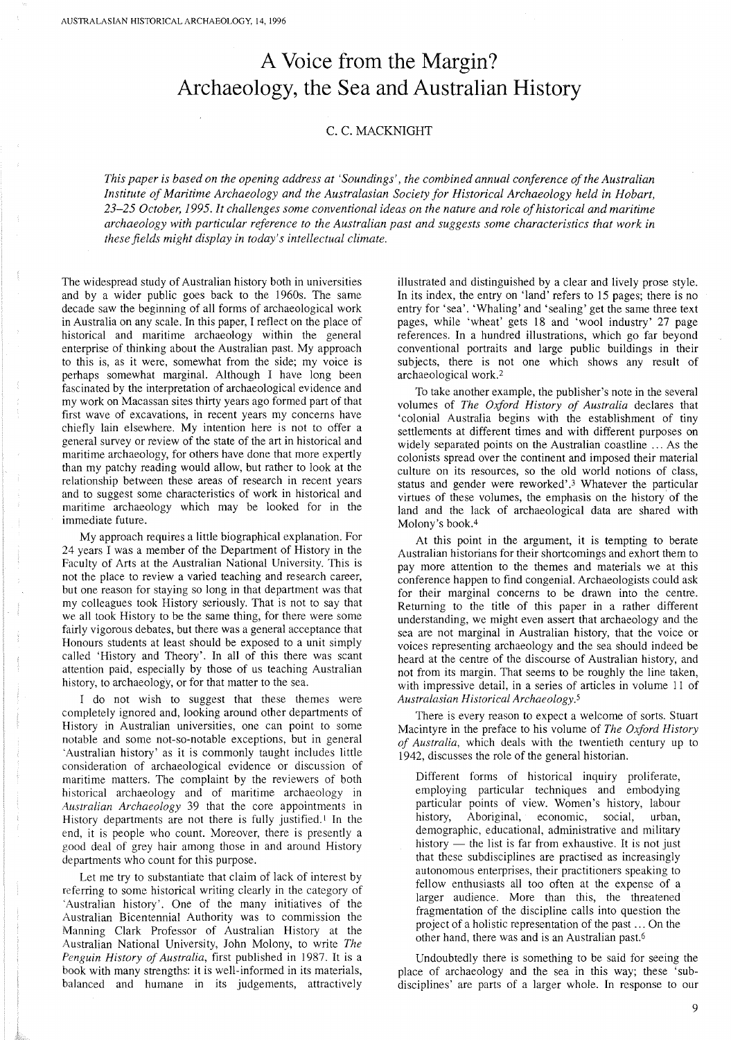## A **Voice from the Margin? Archaeology, the Sea and Australian History**

## C, C. MACKNIGHT

*This paper* is *based on the opening address at 'Soundings', the combined annual conference ofthe Australian Institute of Maritime Archaeology and the Australasian Society for Historical Archaeology held in Hobart, 23-25 October,* 1995. *It challenges some conventional ideas on the nature and role ofhistorical and maritime archaeology with particular reference to the Australian past and suggests some characteristics that work in these fields might display in today's intellectual climate.*

The widespread study of Australian history both in universities and by a wider public goes back to the 1960s. The same decade saw the beginning of all forms of archaeological work in Australia on any scale. In this paper, I reflect on the place of historical and maritime archaeology within the general enterprise of thinking about the Australian past. My approach to this is, as it were, somewhat from the side; my voice is perhaps somewhat marginal. Although I have long been fascinated by the interpretation of archaeological evidence and my work on Macassan sites thirty years ago formed part of that first wave of excavations, in recent years my concerns have chiefly lain elsewhere. My intention here is not to offer a general survey or review of the state of the art in historical and maritime archaeology, for others have done that more expertly than my patchy reading would allow, but rather to look at the relationship between these areas of research in recent years and to suggest some characteristics of work in historical and maritime archaeology which may be looked for in the immediate future.

My approach requires a little biographical explanation. For 24 years I was a member of the Department of History in the Faculty of Arts at the Australian National University. This is not the place to review a varied teaching and research career, but one reason for staying so long in that department was that my colleagues took History seriously. That is not to say that we all took History to be the same thing, for there were some fairly vigorous debates, but there was a general acceptance that Honours students at least should be exposed to a unit simply called 'History and Theory'. In all of this there was scant attention paid, especially by those of us teaching Australian history, to archaeology, or for that matter to the sea.

I do not wish to suggest that these themes were completely ignored and, looking around other departments of History in Australian universities, one can point to some notable and some not-so-notable exceptions, but in general 'Australian history' as it is commonly taught includes little consideration of archaeological evidence or discussion of maritime matters. The complaint by the reviewers of both historical archaeology and of maritime archaeology in *Australian Archaeology* 39 that the core appointments in History departments are not there is fully justified.<sup>1</sup> In the end, it is people who count. Moreover, there is presently a good deal of grey hair among those in and around History departments who count for this purpose.

Let me try to substantiate that claim of lack of interest by referring to some historical writing clearly in the category of 'Australian history'. One of the many initiatives of the Australian Bicentennial Authority was to commission the Manning Clark Professor of Australian History at the Australian National University, John Molony, to write *The Penguin History of Australia,* first published in 1987. It is a book with many strengths: it is well-informed in its materials, balanced and humane in its judgements, attractively

illustrated and distinguished by a clear and lively prose style. In its index, the entry on 'land' refers to 15 pages; there is no entry for 'sea'. 'Whaling' and 'sealing' get the same three text pages, while 'wheat' gets 18 and 'wool industry' 27 page references. In a hundred illustrations, which go far beyond conventional portraits and large public buildings in their subjects, there is not one which shows any result of archaeological work. <sup>2</sup>

To take another example, the publisher's note in the several volumes of *The Oxford History of Australia* declares that 'colonial Australia begins with the establishment of tiny settlements at different times and with different purposes on widely separated points on the Australian coastline ... As the colonists spread over the continent and imposed their material culture on its resources, so the old world notions of class, status and gender were reworked',3 Whatever the particular virtues of these volumes, the emphasis on the history of the land and the lack of archaeological data are shared with Molony's book. 4

At this point in the argument, it is tempting to berate Australian historians for their shortcomings and exhort them to pay more attention to the themes and materials we at this conference happen to find congenial. Archaeologists could ask for their marginal concerns to be drawn into the centre. Returning to the title of this paper in a rather different understanding, we might even assert that archaeology and the sea are not marginal in Australian history, that the voice or voices representing archaeology and the sea should indeed be heard at the centre of the discourse of Australian history, and not from its margin. That seems to be roughly the line taken, with impressive detail, in a series of articles in volume II of *Australasian Historical Archaeology.5*

There is every reason to expect a welcome of sorts. Stuart Macintyre in the preface to his volume of *The Oxford History of Australia,* which deals with the twentieth century up to 1942, discusses the role of the general historian.

Different forms of historical inquiry proliferate, employing particular techniques and embodying particular points of view. Women's history, labour history, Aboriginal, economic, social, urban, demographic, educational, administrative and military history  $-$  the list is far from exhaustive. It is not just that these subdisciplines are practised as increasingly autonomous enterprises, their practitioners speaking to fellow enthusiasts all too often at the expense of a larger audience. More than this, the threatened fragmentation of the discipline calls into question the project of a holistic representation of the past ... On the other hand, there was and is an Australian past.6

Undoubtedly there is something to be said for seeing the place of archaeology and the sea in this way; these 'subdisciplines' are parts of a larger whole. In response to our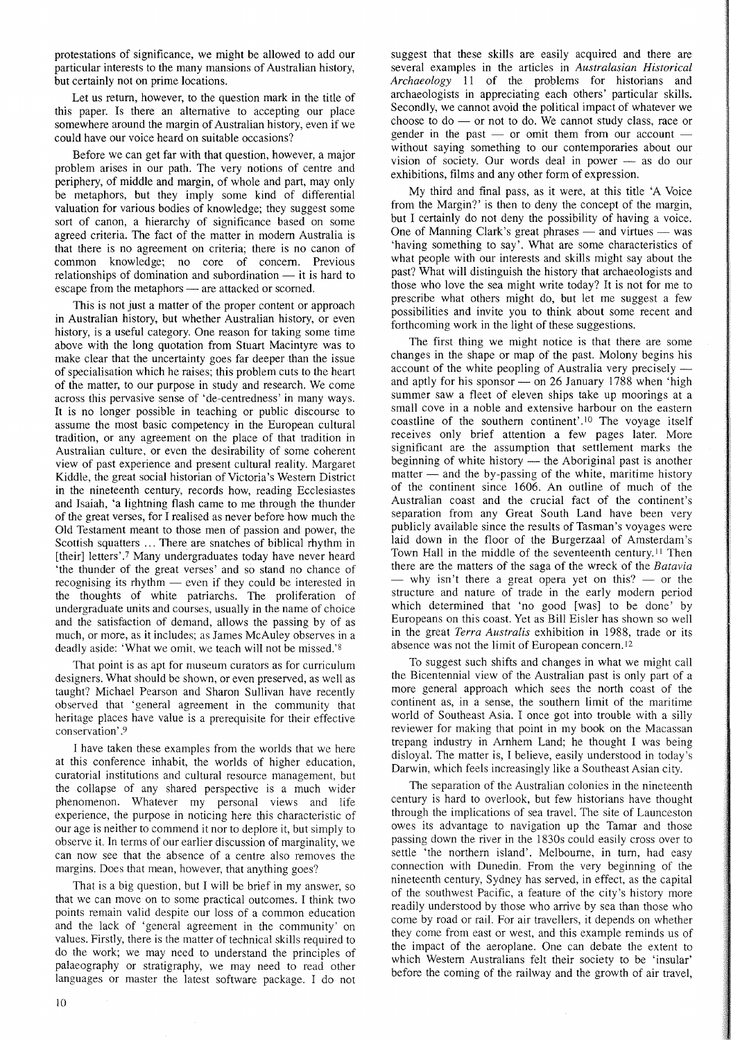protestations of significance, we might be allowed to add our particular interests to the many mansions of Australian history, but certainly not on prime locations.

Let us return, however, to the question mark in the title of this paper. Is there an alternative to accepting our place somewhere around the margin of Australian history, even if we could have our voice heard on suitable occasions?

Before we can get far with that question, however, a major problem arises in our path. The very notions of centre and periphery, of middle and margin, of whole and part, may only be metaphors, but they imply some kind of differential valuation for various bodies of knowledge; they suggest some sort of canon, a hierarchy of significance based on some agreed criteria. The fact of the matter in modem Australia is that there is no agreement on criteria; there is no canon of common knowledge; no core of concern. Previous relationships of domination and subordination  $-$  it is hard to escape from the metaphors — are attacked or scorned.

This is not just a matter of the proper content or approach in Australian history, but whether Australian history, or even history, is a useful category. One reason for taking some time above with the long quotation from Stuart Macintyre was to make clear that the uncertainty goes far deeper than the issue of specialisation which he raises; this problem cuts to the heart of the matter, to our purpose in study and research. We come across this pervasive sense of 'de-centredness' in many ways. It is no longer possible in teaching or public discourse to assume the most basic competency in the European cultural tradition, or any agreement on the place of that tradition in Australian culture, or even the desirability of some coherent view of past experience and present cultural reality. Margaret Kiddle, the great social historian of Victoria's Western District in the nineteenth century, records how, reading Ecclesiastes and Isaiah, 'a lightning flash came to me through the thunder of the great verses, for I realised as never before how much the Old Testament meant to those men of passion and power, the Scottish squatters ... There are snatches of biblical rhythm in [their] letters'.7 Many undergraduates today have never heard 'the thunder of the great verses' and so stand no chance of recognising its rhythm  $-$  even if they could be interested in the thoughts of white patriarchs. The proliferation of undergraduate units and courses, usually in the name of choice and the satisfaction of demand, allows the passing by of as much, or more, as it includes; as James McAuley observes in a deadly aside: 'What we omit, we teach will not be missed.'8

That point is as apt for museum curators as for curriculum designers. What should be shown, or even preserved, as well as taught? Michael Pearson and Sharon Sullivan have recently observed that 'general agreement in the community that heritage places have value is a prerequisite for their effective conservation' .9

I have taken these examples from the worlds that we here at this conference inhabit, the worlds of higher education, curatorial institutions and cultural resource management, but the collapse of any shared perspective is a much wider phenomenon. Whatever my personal views and life experience, the purpose in noticing here this characteristic of our age is neither to commend it nor to deplore it, but simply to observe it. In terms of our earlier discussion of marginality, we can now see that the absence of a centre also removes the margins. Does that mean, however, that anything goes?

That is a big question, but I will be brief in my answer, so that we can move on to some practical outcomes. I think two points remain valid despite our loss of a common education and the lack of 'general agreement in the community' on values. Firstly, there is the matter of technical skills required to do the work; we may need to understand the principles of palaeography or stratigraphy, we may need to read other languages or master the latest software package. I do not suggest that these skills are easily acquired and there are several examples in the articles in *Australasian Historical Archaeology* II of the problems for historians and archaeologists in appreciating each others' particular skills. Secondly, we cannot avoid the political impact of whatever we choose to  $do$  - or not to  $do$ . We cannot study class, race or gender in the past  $-$  or omit them from our account  $$ without saying something to our contemporaries about our vision of society. Our words deal in power  $-$  as do our exhibitions, films and any other form of expression.

My third and final pass, as it were, at this title 'A Voice from the Margin?' is then to deny the concept of the margin, but I certainly do not deny the possibility of having a voice. One of Manning Clark's great phrases  $-$  and virtues  $-$  was 'having something to say'. What are some characteristics of what people with our interests and skills might say about the past? What will distinguish the history that archaeologists and those who love the sea might write today? It is not for me to prescribe what others might do, but let me suggest a few possibilities and invite you to think about some recent and forthcoming work in the light of these suggestions.

The first thing we might notice is that there are some changes in the shape or map of the past. Molony begins his account of the white peopling of Australia very precisely and aptly for his sponsor  $-$  on 26 January 1788 when 'high summer saw a fleet of eleven ships take up moorings at a small cove in a noble and extensive harbour on the eastern coastline of the southern continent'.<sup>10</sup> The voyage itself receives only brief attention a few pages later. More significant are the assumption that settlement marks the beginning of white history  $-$  the Aboriginal past is another  $matter$  — and the by-passing of the white, maritime history of the continent since 1606. An outline of much of the Australian coast and the crucial fact of the continent's separation from any Great South Land have been very publicly available since the results of Tasman's voyages were laid down in the floor of the Burgerzaal of Amsterdam's Town Hall in the middle of the seventeenth century.<sup>11</sup> Then there are the matters of the saga of the wreck of the *Batavia*  $-$  why isn't there a great opera yet on this?  $-$  or the structure and nature of trade in the early modern period which determined that 'no good [was] to be done' by Europeans on this coast. Yet as Bill Eisler has shown so well in the great *Terra Australis* exhibition in 1988, trade or its absence was not the limit of European concern. <sup>12</sup>

To suggest such shifts and changes in what we might call the Bicentennial view of the Australian past is only part of a more general approach which sees the north coast of the continent as, in a sense, the southern limit of the maritime world of Southeast Asia. I once got into trouble with a silly reviewer for making that point in my book on the Macassan trepang industry in Amhem Land; he thought I was being disloyal. The matter is, I believe, easily understood in today's Darwin, which feels increasingly like a Southeast Asian city.

The separation of the Australian colonies in the nineteenth century is hard to overlook, but few historians have thought through the implications of sea travel. The site of Launceston owes its advantage to navigation up the Tamar and those passing down the river in the 1830s could easily cross over to settle 'the northern island'. Melbourne, in tum, had easy connection with Dunedin. From the very beginning of the nineteenth century, Sydney has served, in effect, as the capital of the southwest Pacific, a feature of the city's history more readily understood by those who arrive by sea than those who come by road or rail. For air travellers, it depends on whether they come from east or west, and this example reminds us of the impact of the aeroplane. One can debate the extent to which Western Australians felt their society to be 'insular' before the coming of the railway and the growth of air travel,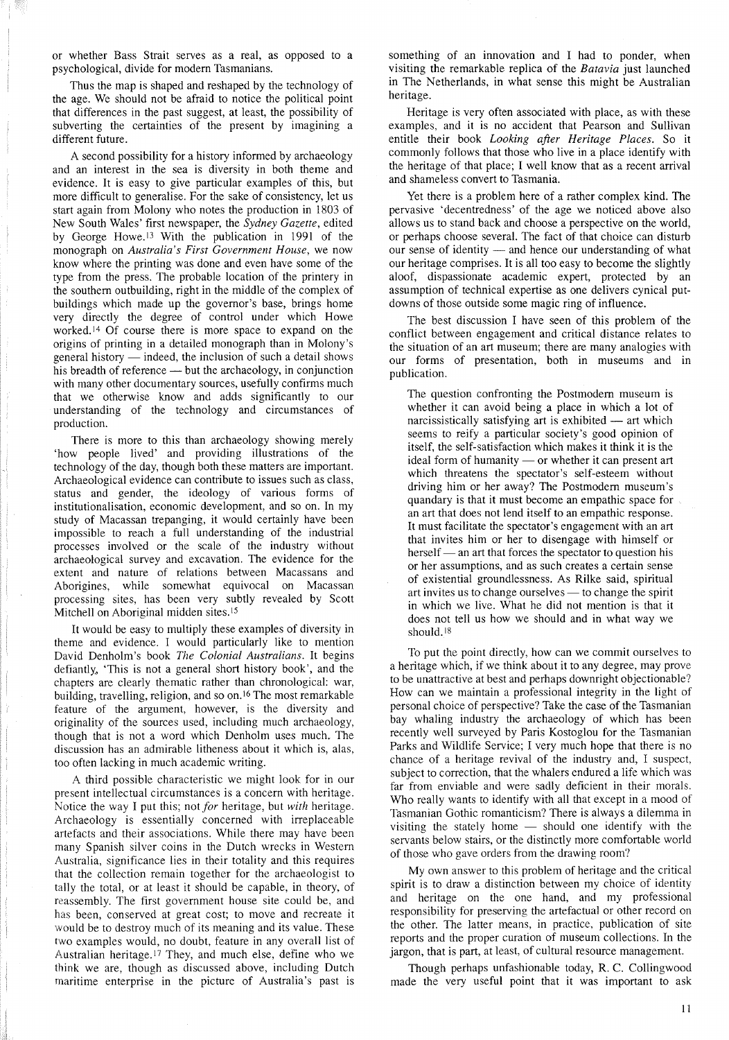or whether Bass Strait serves as a real, as opposed to a psychological, divide for modem Tasmanians.

Thus the map is shaped and reshaped by the technology of the age. We should not be afraid to notice the political point that differences in the past suggest, at least, the possibility of subverting the certainties of the present by imagining a different future.

A second possibility for a history informed by archaeology and an interest in the sea is diversity in both theme and evidence. It is easy to give particular examples of this, but more difficult to generalise. For the sake of consistency, let us start again from Molony who notes the production in 1803 of New South Wales' first newspaper, the *Sydney Gazette,* edited by George Howe. <sup>13</sup> With the publication in 1991 of the monograph on *Australia's First Government House,* we now know where the printing was done and even have some of the type from the press. The probable location of the printery in the southern outbuilding, right in the middle of the complex of buildings which made up the governor's base, brings home very directly the degree of control under which Howe worked.<sup>14</sup> Of course there is more space to expand on the origins of printing in a detailed monograph than in Molony's general history  $\overline{\phantom{a}}$  indeed, the inclusion of such a detail shows his breadth of reference — but the archaeology, in conjunction with many other documentary sources, usefully confirms much that we otherwise know and adds significantly to our understanding of the technology and circumstances of production.

There is more to this than archaeology showing merely 'how people lived' and providing illustrations of the technology of the day, though both these matters are important. Archaeological evidence can contribute to issues such as class, status and gender, the ideology of various forms of institutionalisation, economic development, and so on. In my study of Macassan trepanging, it would certainly have been impossible to reach a full understanding of the industrial processes involved or the scale of the industry without archaeological survey and excavation. The evidence for the extent and nature of relations between Macassans and Aborigines, while somewhat equivocal on Macassan processing sites, has been very subtly revealed by Scott Mitchell on Aboriginal midden sites.<sup>15</sup>

It would be easy to multiply these examples of diversity in theme and evidence. I would particularly like to mention David Denholm's book *The Colonial Australians.* It begins defiantly, 'This is not a general short history book', and the chapters are clearly thematic rather than chronological: war, building, travelling, religion, and so on. <sup>16</sup> The most remarkable feature of the argument, however, is the diversity and originality of the sources used, including much archaeology, though that is not a word which Denholm uses much. The discussion has an admirable litheness about it which is, alas, too often lacking in much academic writing.

A third possible characteristic we might look for in our present intellectual circumstances is a concern with heritage. Notice the way I put this; not *for* heritage, but *with* heritage. Archaeology is essentially concerned with irreplaceable artefacts and their associations. While there may have been many Spanish silver coins in the Dutch wrecks in Western Australia, significance lies in their totality and this requires that the collection remain together for the archaeologist to tally the total, or at least it should be capable, in theory, of reassembly. The first government house site could be, and has been, conserved at great cost; to move and recreate it would be to destroy much of its meaning and its value. These two examples would, no doubt, feature in any overall list of Australian heritage.<sup>17</sup> They, and much else, define who we think we are, though as discussed above, including Dutch maritime enterprise in the picture of Australia's past is

something of an innovation and I had to ponder, when visiting the remarkable replica of the *Batavia* just launched in The Netherlands, in what sense this might be Australian heritage.

Heritage is very often associated with place, as with these examples, and it is no accident that Pearson and Sullivan entitle their book *Looking after Heritage Places.* So it commonly follows that those who live in a place identify with the heritage of that place; I well know that as a recent arrival and shameless convert to Tasmania.

Yet there is a problem here of a rather complex kind. The pervasive 'decentredness' of the age we noticed above also allows us to stand back and choose a perspective on the world, or perhaps choose several. The fact of that choice can disturb our sense of identity  $-$  and hence our understanding of what our heritage comprises. It is all too easy to become the slightly aloof, dispassionate academic expert, protected by an assumption of technical expertise as one delivers cynical putdowns of those outside some magic ring of influence.

The best discussion I have seen of this problem of the conflict between engagement and critical distance relates to the situation of an art museum; there are many analogies with our forms of presentation, both in museums and in publication.

The question confronting the Postmodern museum is whether it can avoid being a place in which a lot of narcissistically satisfying art is exhibited  $-$  art which seems to reify a particular society's good opinion of itself, the self-satisfaction which makes it think it is the ideal form of humanity — or whether it can present art which threatens the spectator's self-esteem without driving him or her away? The Postmodern museum's quandary is that it must become an empathic space for an art that does not lend itself to an empathic response. It must facilitate the spectator's engagement with an art that invites him or her to disengage with himself or herself - an art that forces the spectator to question his or her assumptions, and as such creates a certain sense of existential groundlessness. As Rilke said, spiritual art invites us to change ourselves - to change the spirit in which we live. What he did not mention is that it does not tell us how we should and in what way we should. <sup>18</sup>

To put the point directly, how can we commit ourselves to a heritage which, if we think about it to any degree, may prove to be unattractive at best and perhaps downright objectionable? How can we maintain a professional integrity in the light of personal choice of perspective? Take the case of the Tasmanian bay whaling industry the archaeology of which has been recently well surveyed by Paris Kostoglou for the Tasmanian Parks and Wildlife Service; I very much hope that there is no chance of a heritage revival of the industry and, I suspect, subject to correction, that the whalers endured a life which was far from enviable and were sadly deficient in their morals. Who really wants to identify with all that except in a mood of Tasmanian Gothic romanticism? There is always a dilemma in visiting the stately home  $-$  should one identify with the servants below stairs, or the distinctly more comfortable world of those who gave orders from the drawing room?

My own answer to this problem of heritage and the critical spirit is to draw a distinction between my choice of identity and heritage on the one hand, and my professional responsibility for preserving the artefactual or other record on the other. The latter means, in practice, publication of site reports and the proper curation of museum collections. In the jargon, that is part, at least, of cultural resource management.

Though perhaps unfashionable today, R. C. Collingwood made the very useful point that it was important to ask